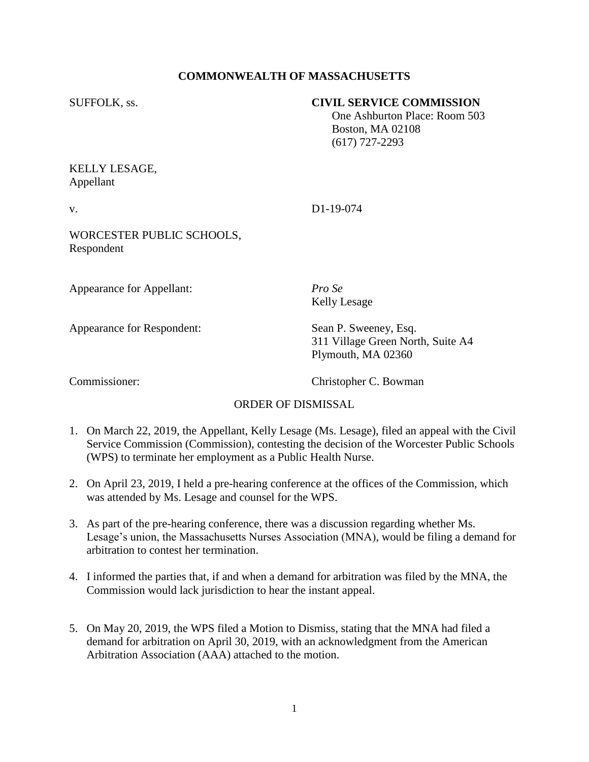# **COMMONWEALTH OF MASSACHUSETTS**

### SUFFOLK, ss. **CIVIL SERVICE COMMISSION**

 One Ashburton Place: Room 503 Boston, MA 02108 (617) 727-2293

# KELLY LESAGE, Appellant

v. D1-19-074

WORCESTER PUBLIC SCHOOLS, Respondent

Appearance for Appellant: *Pro Se*

Appearance for Respondent: Sean P. Sweeney, Esq.

Kelly Lesage

311 Village Green North, Suite A4 Plymouth, MA 02360

Commissioner: Christopher C. Bowman

### ORDER OF DISMISSAL

- 1. On March 22, 2019, the Appellant, Kelly Lesage (Ms. Lesage), filed an appeal with the Civil Service Commission (Commission), contesting the decision of the Worcester Public Schools (WPS) to terminate her employment as a Public Health Nurse.
- 2. On April 23, 2019, I held a pre-hearing conference at the offices of the Commission, which was attended by Ms. Lesage and counsel for the WPS.
- 3. As part of the pre-hearing conference, there was a discussion regarding whether Ms. Lesage's union, the Massachusetts Nurses Association (MNA), would be filing a demand for arbitration to contest her termination.
- 4. I informed the parties that, if and when a demand for arbitration was filed by the MNA, the Commission would lack jurisdiction to hear the instant appeal.
- 5. On May 20, 2019, the WPS filed a Motion to Dismiss, stating that the MNA had filed a demand for arbitration on April 30, 2019, with an acknowledgment from the American Arbitration Association (AAA) attached to the motion.